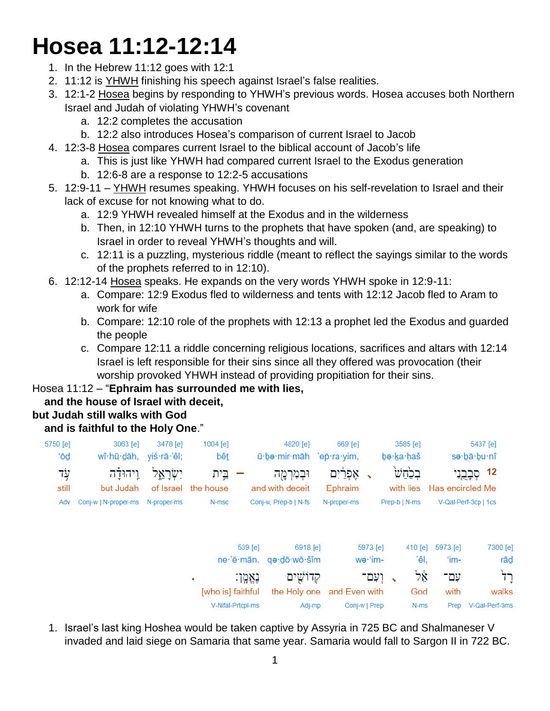# **Hosea 11:12-12:14**

- 1. In the Hebrew 11:12 goes with 12:1
- 2. 11:12 is YHWH finishing his speech against Israel's false realities.
- 3. 12:1-2 Hosea begins by responding to YHWH's previous words. Hosea accuses both Northern Israel and Judah of violating YHWH's covenant
	- a. 12:2 completes the accusation
	- b. 12:2 also introduces Hosea's comparison of current Israel to Jacob
- 4. 12:3-8 Hosea compares current Israel to the biblical account of Jacob's life
	- a. This is just like YHWH had compared current Israel to the Exodus generation
	- b. 12:6-8 are a response to 12:2-5 accusations
- 5. 12:9-11 YHWH resumes speaking. YHWH focuses on his self-revelation to Israel and their lack of excuse for not knowing what to do.
	- a. 12:9 YHWH revealed himself at the Exodus and in the wilderness
	- b. Then, in 12:10 YHWH turns to the prophets that have spoken (and, are speaking) to Israel in order to reveal YHWH's thoughts and will.
	- c. 12:11 is a puzzling, mysterious riddle (meant to reflect the sayings similar to the words of the prophets referred to in 12:10).
- 6. 12:12-14 Hosea speaks. He expands on the very words YHWH spoke in 12:9-11:
	- a. Compare: 12:9 Exodus fled to wilderness and tents with 12:12 Jacob fled to Aram to work for wife
	- b. Compare: 12:10 role of the prophets with 12:13 a prophet led the Exodus and guarded the people
	- c. Compare 12:11 a riddle concerning religious locations, sacrifices and altars with 12:14 Israel is left responsible for their sins since all they offered was provocation (their worship provoked YHWH instead of providing propitiation for their sins.

#### Hosea 11:12 – "**Ephraim has surrounded me with lies,**

# **and the house of Israel with deceit,**

# **but Judah still walks with God**

#### **and is faithful to the Holy One**."

|                 | 5437 [e]<br>sə∙bā∙bu∙nî |                            | $3585$ [e]<br>bə·ka·haš |                     | 669 [e]               | 4820 [e]<br>ū be mir māh 'ep ra yim,    |                   | 1004 [e]<br><u>bêt</u>      | 3478 [e]   | 3063 [e]<br>wî·hū·dāh, yiś·rā·'êl; | 5750 [e]<br>'ō₫ |
|-----------------|-------------------------|----------------------------|-------------------------|---------------------|-----------------------|-----------------------------------------|-------------------|-----------------------------|------------|------------------------------------|-----------------|
|                 | 12 קְבָרֳנִי            | with lies Has encircled Me | בלחש                    |                     | אַפְרַ֫יִם<br>Ephraim | וּבִמְרַמֻה<br>and with deceit          |                   | בֵית<br>of Israel the house | יִשְׂרַאֵל | וַיְהוּדַה<br>but Judah            | עָד<br>still    |
|                 |                         | V-Qal-Perf-3cp   1cs       | Prep-b   N-ms           |                     | N-proper-ms           | Conj-w, Prep-b   N-fs                   |                   | N-msc                       |            |                                    | Adv             |
| 7300 [e]<br>rād |                         | 5973 [e]<br>'im-           | 410 [e]<br>'êl.         | 5973 [e]<br>wə·'im- |                       | 6918 [e]<br>ne 'ĕ mān. qo dō wō šîm     | $539$ [e]         |                             |            |                                    |                 |
| ּרְד<br>walks   |                         | עם־<br>with                | ፟ፇ፠፞<br>God             | י ועם־ $\,$         |                       | קדוֹשִׁים<br>the Holy one and Even with | נאמן:             | ٠<br>[who is] faithful      |            |                                    |                 |
|                 | Prep V-Qal-Perf-3ms     |                            | N-ms                    | Conj-w   Prep       |                       | Adj-mp                                  | V-Nifal-Prtcpl-ms |                             |            |                                    |                 |

1. Israel's last king Hoshea would be taken captive by Assyria in 725 BC and Shalmaneser V invaded and laid siege on Samaria that same year. Samaria would fall to Sargon II in 722 BC.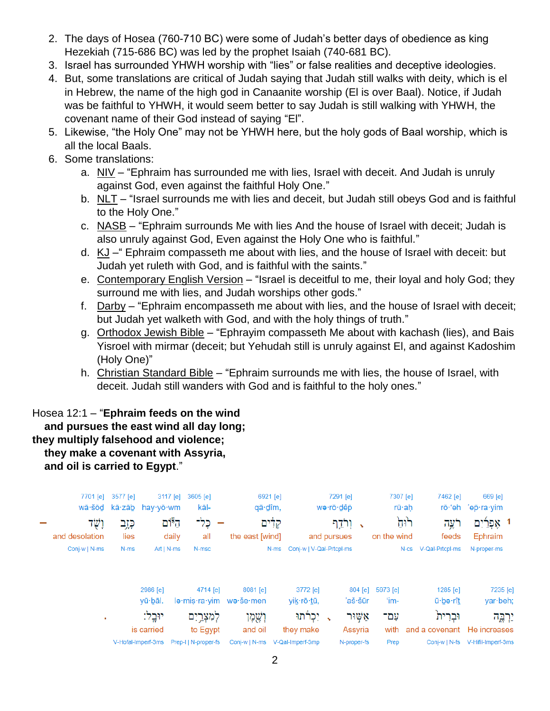- 2. The days of Hosea (760-710 BC) were some of Judah's better days of obedience as king Hezekiah (715-686 BC) was led by the prophet Isaiah (740-681 BC).
- 3. Israel has surrounded YHWH worship with "lies" or false realities and deceptive ideologies.
- 4. But, some translations are critical of Judah saying that Judah still walks with deity, which is el in Hebrew, the name of the high god in Canaanite worship (El is over Baal). Notice, if Judah was be faithful to YHWH, it would seem better to say Judah is still walking with YHWH, the covenant name of their God instead of saying "El".
- 5. Likewise, "the Holy One" may not be YHWH here, but the holy gods of Baal worship, which is all the local Baals.
- 6. Some translations:
	- a. NIV "Ephraim has surrounded me with lies, Israel with deceit. And Judah is unruly against God, even against the faithful Holy One."
	- b. NLT "Israel surrounds me with lies and deceit, but Judah still obeys God and is faithful to the Holy One."
	- c. NASB "Ephraim surrounds Me with lies And the house of Israel with deceit; Judah is also unruly against God, Even against the Holy One who is faithful."
	- d. KJ –" Ephraim compasseth me about with lies, and the house of Israel with deceit: but Judah yet ruleth with God, and is faithful with the saints."
	- e. Contemporary English Version "Israel is deceitful to me, their loyal and holy God; they surround me with lies, and Judah worships other gods."
	- f. Darby "Ephraim encompasseth me about with lies, and the house of Israel with deceit; but Judah yet walketh with God, and with the holy things of truth."
	- g. Orthodox Jewish Bible "Ephrayim compasseth Me about with kachash (lies), and Bais Yisroel with mirmar (deceit; but Yehudah still is unruly against El, and against Kadoshim (Holy One)"
	- h. Christian Standard Bible "Ephraim surrounds me with lies, the house of Israel, with deceit. Judah still wanders with God and is faithful to the holy ones."

Hosea 12:1 – "**Ephraim feeds on the wind and pursues the east wind all day long; they multiply falsehood and violence; they make a covenant with Assyria, and oil is carried to Egypt**."

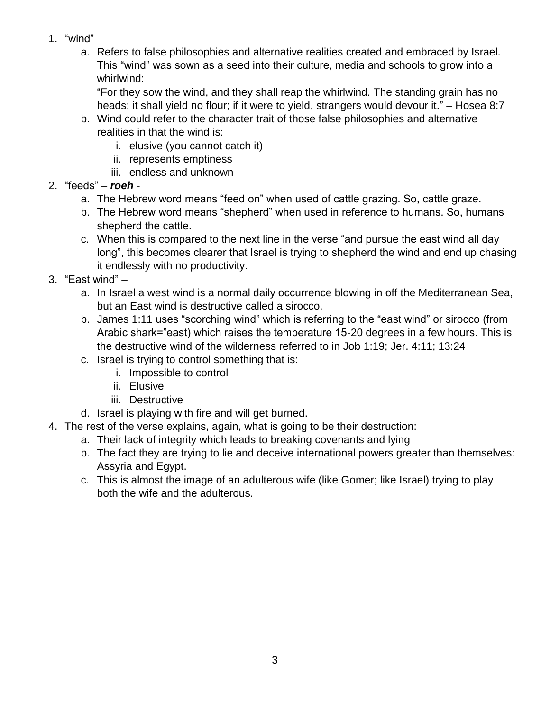- 1. "wind"
	- a. Refers to false philosophies and alternative realities created and embraced by Israel. This "wind" was sown as a seed into their culture, media and schools to grow into a whirlwind:

"For they sow the wind, and they shall reap the whirlwind. The standing grain has no heads; it shall yield no flour; if it were to yield, strangers would devour it." – Hosea 8:7

- b. Wind could refer to the character trait of those false philosophies and alternative realities in that the wind is:
	- i. elusive (you cannot catch it)
	- ii. represents emptiness
	- iii. endless and unknown
- 2. "feeds" *roeh*
	- a. The Hebrew word means "feed on" when used of cattle grazing. So, cattle graze.
	- b. The Hebrew word means "shepherd" when used in reference to humans. So, humans shepherd the cattle.
	- c. When this is compared to the next line in the verse "and pursue the east wind all day long", this becomes clearer that Israel is trying to shepherd the wind and end up chasing it endlessly with no productivity.
- 3. "East wind"
	- a. In Israel a west wind is a normal daily occurrence blowing in off the Mediterranean Sea, but an East wind is destructive called a sirocco.
	- b. James 1:11 uses "scorching wind" which is referring to the "east wind" or sirocco (from Arabic shark="east) which raises the temperature 15-20 degrees in a few hours. This is the destructive wind of the wilderness referred to in Job 1:19; Jer. 4:11; 13:24
	- c. Israel is trying to control something that is:
		- i. Impossible to control
		- ii. Elusive
		- iii. Destructive
	- d. Israel is playing with fire and will get burned.
- 4. The rest of the verse explains, again, what is going to be their destruction:
	- a. Their lack of integrity which leads to breaking covenants and lying
	- b. The fact they are trying to lie and deceive international powers greater than themselves: Assyria and Egypt.
	- c. This is almost the image of an adulterous wife (like Gomer; like Israel) trying to play both the wife and the adulterous.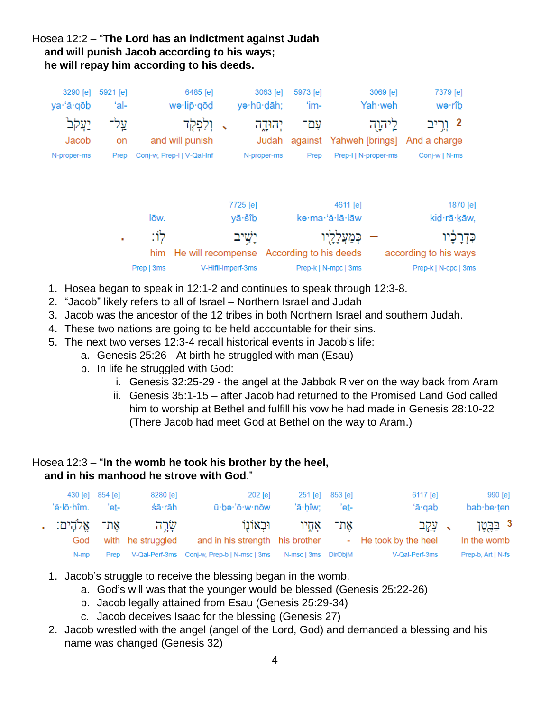# Hosea 12:2 – "**The Lord has an indictment against Judah and will punish Jacob according to his ways; he will repay him according to his deeds.**



- 1. Hosea began to speak in 12:1-2 and continues to speak through 12:3-8.
- 2. "Jacob" likely refers to all of Israel Northern Israel and Judah
- 3. Jacob was the ancestor of the 12 tribes in both Northern Israel and southern Judah.
- 4. These two nations are going to be held accountable for their sins.
- 5. The next two verses 12:3-4 recall historical events in Jacob's life:
	- a. Genesis 25:26 At birth he struggled with man (Esau)
	- b. In life he struggled with God:
		- i. Genesis 32:25-29 the angel at the Jabbok River on the way back from Aram
		- ii. Genesis 35:1-15 after Jacob had returned to the Promised Land God called him to worship at Bethel and fulfill his vow he had made in Genesis 28:10-22 (There Jacob had meet God at Bethel on the way to Aram.)

#### Hosea 12:3 – "**In the womb he took his brother by the heel, and in his manhood he strove with God**."

|                  | 430 [e] 854 [e] | 8280 [e]          | $202$ [e]                                        |                      | 251 [e] 853 [e] | 6117 [e]              | 990 [e]            |
|------------------|-----------------|-------------------|--------------------------------------------------|----------------------|-----------------|-----------------------|--------------------|
| 'ĕ∙lō∙hîm.       | 'et-            | śā·rāh            | ū·bə·'ō·w·nōw                                    | 'ā·hîw:              | 'et-            | $4a \cdot$ gab        | bab be ten         |
| אֵת־ אֱלֹהֵים: . |                 | <u>שׂר</u> דה     | וּבאוֹנוֹ                                        |                      | את־ אחיו        | → עֲקִב               | 3 בַּבֵשֶׁן        |
| God              |                 | with he struggled | and in his strength his brother                  |                      |                 | - He took by the heel | In the womb        |
| N-mp             |                 |                   | Prep V-Qal-Perf-3ms Conj-w, Prep-b   N-msc   3ms | N-msc   3ms  DirObjM |                 | V-Qal-Perf-3ms        | Prep-b, Art   N-fs |

- 1. Jacob's struggle to receive the blessing began in the womb.
	- a. God's will was that the younger would be blessed (Genesis 25:22-26)
	- b. Jacob legally attained from Esau (Genesis 25:29-34)
	- c. Jacob deceives Isaac for the blessing (Genesis 27)
- 2. Jacob wrestled with the angel (angel of the Lord, God) and demanded a blessing and his name was changed (Genesis 32)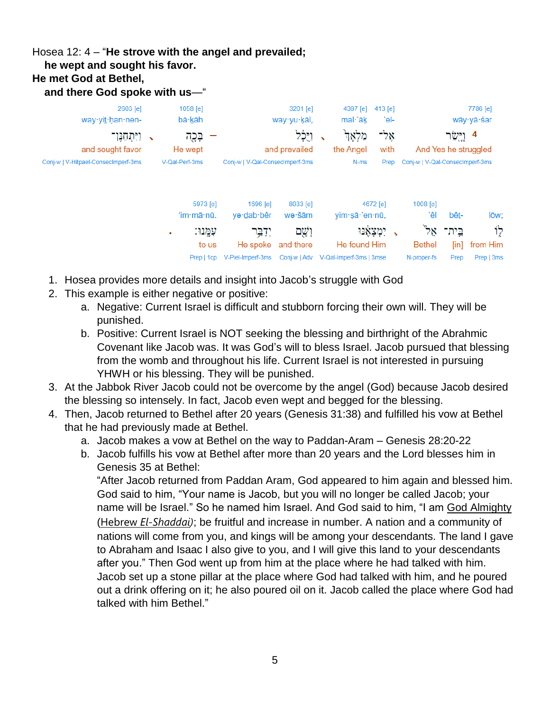# Hosea 12: 4 – "**He strove with the angel and prevailed;**

 **he wept and sought his favor.**

#### **He met God at Bethel,**

 **and there God spoke with us**—"

| 2603 [e]<br>way yit han nen-        | 1058 [e]<br>bā·kāh                              |                                           | 3201 [e]<br>way yu kāl,   | 4397 [e]<br>mal· <sub>āk</sub>                       | 413 [e]<br>'el- |                                     |                       | 7786 [e]<br>wāy∙yā∙śar         |
|-------------------------------------|-------------------------------------------------|-------------------------------------------|---------------------------|------------------------------------------------------|-----------------|-------------------------------------|-----------------------|--------------------------------|
| <u>ויתחנו־</u><br>and sought favor  | בְּכֻה<br>$\mathbf{v}$<br>He wept               |                                           | וַיָּכָל<br>and prevailed | מַלְאָדֹ<br>the Angel                                | אָל־<br>with    |                                     | וישו                  | 4<br>And Yes he struggled      |
| Conj-w   V-Hitpael-ConsecImperf-3ms | V-Qal-Perf-3ms                                  | Conj-w   V-Qal-ConsecImperf-3ms           |                           | N-ms                                                 | Prep            | Conj-w   V-Qal-Consecimperf-3ms     |                       |                                |
|                                     | 5973 [e]<br>'im·mā·nū.                          | 1696 $[e]$<br>yə dab bêr                  | 8033 [e]<br>wə∙šām        | yim·sā·'en·nū,                                       | 4672 [e]        | 1008 [e]<br>'êl                     | bêt-                  | lōw;                           |
|                                     | עִמְנוּ:<br>$\mathbf{r}$<br>to us<br>Prep   1cp | יִדַבְּר<br>He spoke<br>V-Piel-Imperf-3ms | וְשֶׁם<br>and there       | He found Him<br>Conj-w   Adv V-Qal-Imperf-3ms   3mse | יִמְצָאָנוּ     | אל"<br><b>Bethel</b><br>N-proper-fs | בֵית־<br>[in]<br>Prep | לְוֹ<br>from Him<br>Prep   3ms |

- 1. Hosea provides more details and insight into Jacob's struggle with God
- 2. This example is either negative or positive:
	- a. Negative: Current Israel is difficult and stubborn forcing their own will. They will be punished.
	- b. Positive: Current Israel is NOT seeking the blessing and birthright of the Abrahmic Covenant like Jacob was. It was God's will to bless Israel. Jacob pursued that blessing from the womb and throughout his life. Current Israel is not interested in pursuing YHWH or his blessing. They will be punished.
- 3. At the Jabbok River Jacob could not be overcome by the angel (God) because Jacob desired the blessing so intensely. In fact, Jacob even wept and begged for the blessing.
- 4. Then, Jacob returned to Bethel after 20 years (Genesis 31:38) and fulfilled his vow at Bethel that he had previously made at Bethel.
	- a. Jacob makes a vow at Bethel on the way to Paddan-Aram Genesis 28:20-22
	- b. Jacob fulfills his vow at Bethel after more than 20 years and the Lord blesses him in Genesis 35 at Bethel:

"After Jacob returned from Paddan Aram, God appeared to him again and blessed him. God said to him, "Your name is Jacob, but you will no longer be called Jacob; your name will be Israel." So he named him Israel. And God said to him, "I am God Almighty (Hebrew *El-Shaddai)*; be fruitful and increase in number. A nation and a community of nations will come from you, and kings will be among your descendants. The land I gave to Abraham and Isaac I also give to you, and I will give this land to your descendants after you." Then God went up from him at the place where he had talked with him. Jacob set up a stone pillar at the place where God had talked with him, and he poured out a drink offering on it; he also poured oil on it. Jacob called the place where God had talked with him Bethel."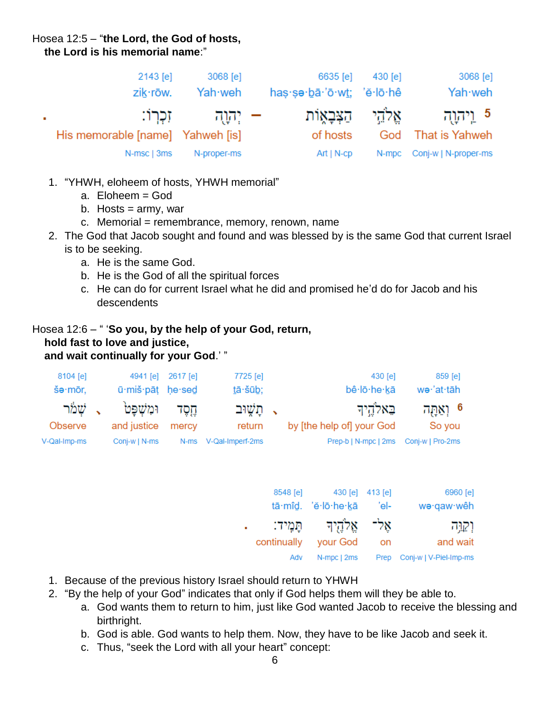#### Hosea 12:5 – "**the Lord, the God of hosts, the Lord is his memorial name**:"

|            | 2143 [e]<br>zik·rōw.             | 3068 [e]<br>Yah·weh | 6635 [e]<br>has sa bā 'ō wt; 'ĕ lō hê | 430 [e] | 3068 [e]<br>Yah weh                                     |
|------------|----------------------------------|---------------------|---------------------------------------|---------|---------------------------------------------------------|
| <b>COL</b> | His memorable [name] Yahweh [is] | – יִהוַה - זִכְרוֹ: | of hosts                              |         | 5 וַיִּהְוַה אֱלֹהֵי הַצְּבָאֶוֹת<br>God That is Yahweh |
|            | N-msc   3ms                      | N-proper-ms         | Art   N-cp                            |         | N-mpc Conj-w   N-proper-ms                              |

- 1. "YHWH, eloheem of hosts, YHWH memorial"
	- a. Eloheem = God
	- b. Hosts  $=$  army, war
	- c. Memorial = remembrance, memory, renown, name
- 2. The God that Jacob sought and found and was blessed by is the same God that current Israel is to be seeking.
	- a. He is the same God.
	- b. He is the God of all the spiritual forces
	- c. He can do for current Israel what he did and promised he'd do for Jacob and his descendents

#### Hosea 12:6 – " '**So you, by the help of your God, return, hold fast to love and justice, and wait continually for your God**.' "

| 8104 [e]<br>šə∙mōr, | 4941 [e]<br>ū·miš·pāt he·sed | 2617 [e] | 7725 [e]<br>tā·šūb; | 430 [e]<br>bê lō he kā                | 859 [e]<br>we·'at·tāh |
|---------------------|------------------------------|----------|---------------------|---------------------------------------|-----------------------|
| ג שמר               | ומשפט                        | חסד      | , תַשִּׁוּב         | באלהיד                                | 6 וְאַחֲה             |
| Observe             | and justice                  | mercy    | return              | by [the help of] your God             | So you                |
| V-Qal-Imp-ms        | Coni-w   N-ms                | N-ms     | V-Qal-Imperf-2ms    | Prep-b   N-mpc   2ms Conj-w   Pro-2ms |                       |

| 6960 [e]               |      | 8548 [e] 430 [e] 413 [e]   |             |  |
|------------------------|------|----------------------------|-------------|--|
| wə·qaw·wêh             | 'el- | tā·mîd. 'ĕ·lō·he·kā        |             |  |
| וְקַוָּה               |      | אַל־ אַלֹּהֵיִךְ תַּמִידִ: |             |  |
| and wait               | on   | your God                   | continually |  |
| Conj-w   V-Piel-Imp-ms | Prep | N-mpc   2ms                | Adv         |  |

- 1. Because of the previous history Israel should return to YHWH
- 2. "By the help of your God" indicates that only if God helps them will they be able to.
	- a. God wants them to return to him, just like God wanted Jacob to receive the blessing and birthright.
	- b. God is able. God wants to help them. Now, they have to be like Jacob and seek it.
	- c. Thus, "seek the Lord with all your heart" concept: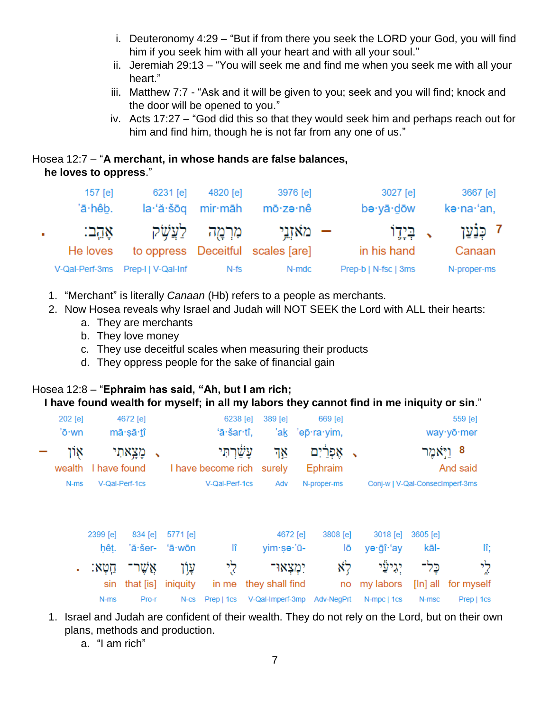- i. Deuteronomy 4:29 "But if from there you seek the LORD your God, you will find him if you seek him with all your heart and with all your soul."
- ii. Jeremiah 29:13 "You will seek me and find me when you seek me with all your heart."
- iii. Matthew 7:7 "Ask and it will be given to you; seek and you will find; knock and the door will be opened to you."
- iv. Acts 17:27 "God did this so that they would seek him and perhaps reach out for him and find him, though he is not far from any one of us."

#### Hosea 12:7 – "**A merchant, in whose hands are false balances, he loves to oppress**."

|    | $157$ [e]<br>'ā·hêb. | 6231 [e]                          | 4820 [e]<br>la·'ă·šōq mir·māh | 3976 [e]<br>mō∙zə∙nê              | $3027$ [e]<br>bə∙yā∙dōw | 3667 [e]<br>kə·na·'an, |
|----|----------------------|-----------------------------------|-------------------------------|-----------------------------------|-------------------------|------------------------|
| ×. | אֲהֵב:               |                                   | מִרְמָה לַעֲשָׁק              | – מאזַבֵּי                        | ּי בִּיָדֵוֹ            | 7 כִּנֹעו              |
|    | He loves             |                                   |                               | to oppress Deceitful scales [are] | in his hand             | Canaan                 |
|    |                      | V-Qal-Perf-3ms Prep-I   V-Qal-Inf | $N-fs$                        | N-mdc                             | Prep-b   N-fsc   3ms    | N-proper-ms            |

- 1. "Merchant" is literally *Canaan* (Hb) refers to a people as merchants.
- 2. Now Hosea reveals why Israel and Judah will NOT SEEK the Lord with ALL their hearts:
	- a. They are merchants
	- b. They love money
	- c. They use deceitful scales when measuring their products
	- d. They oppress people for the sake of financial gain

#### Hosea 12:8 – "**Ephraim has said, "Ah, but I am rich; I have found wealth for myself; in all my labors they cannot find in me iniquity or sin**."

| 202 [e]<br>'ō·wn |              | 4672 [e]<br>mā·șā·tî |          | 6238 [e]<br>'ā·šar·tî,           | $389$ [e]<br>'ak | 669 [e]<br>'ep̄·ra·yim, |                                 |            | 559 [e]<br>way · yō · mer |
|------------------|--------------|----------------------|----------|----------------------------------|------------------|-------------------------|---------------------------------|------------|---------------------------|
| אָון<br>wealth   | I have found | מָצָאתִי             |          | תי'<br>I have become rich surely | ٦Ν               | אפרים<br>Ephraim        |                                 |            | 8 וַיְאמֶר<br>And said    |
| N-ms             |              | V-Qal-Perf-1cs       |          | V-Qal-Perf-1cs                   | Adv              | N-proper-ms             | Conj-w   V-Qal-ConsecImperf-3ms |            |                           |
|                  | 2399 [e]     | $834$ [e]            | 5771 [e] |                                  | 4672 [e]         | 3808 [e]                | 3018 [e]                        | 3605 [e]   |                           |
|                  | hêt.         | 'ă·šer-              | 'ā∙wōn   | lî                               | yim·se·'ū-       | lō                      | yə·ğî·'ay                       | kāl-       | lî;                       |
| ٠                | חֵטְא:       | אַשר                 | עָוֹן    | לי                               | יִמְצָאוּ־       | לא                      | יגישַי                          | כל־        | לי                        |
|                  | sin          | that $[$ is]         | iniquity | in me                            | they shall find  | no                      | my labors                       | $[ln]$ all | for myself                |
|                  | $N$ -ms      | Pro-r                | $N-cs$   | Prep   1cs                       | V-Qal-Imperf-3mp | Adv-NegPrt              | N-mpc   1cs                     | N-msc      | Prep   1cs                |

- 1. Israel and Judah are confident of their wealth. They do not rely on the Lord, but on their own plans, methods and production.
	- a. "I am rich"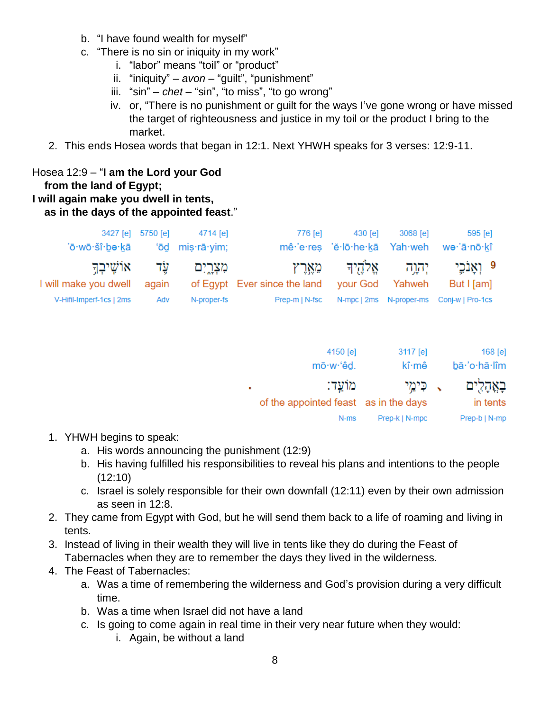- b. "I have found wealth for myself"
- c. "There is no sin or iniquity in my work"
	- i. "labor" means "toil" or "product"
	- ii. "iniquity" *avon* "guilt", "punishment"
	- iii. "sin" *chet* "sin", "to miss", "to go wrong"
	- iv. or, "There is no punishment or guilt for the ways I've gone wrong or have missed the target of righteousness and justice in my toil or the product I bring to the market.
- 2. This ends Hosea words that began in 12:1. Next YHWH speaks for 3 verses: 12:9-11.

#### Hosea 12:9 – "**I am the Lord your God from the land of Egypt; I will again make you dwell in tents, as in the days of the appointed feast**."

|                                | 3427 [e] 5750 [e] | 4714 [e]    | 776 [e]                                            | 430 [e] | 3068 [e] | 595 [e]                                        |
|--------------------------------|-------------------|-------------|----------------------------------------------------|---------|----------|------------------------------------------------|
| 'ō·wō·šî·bə·kā 'ōd miş·rā·yim; |                   |             |                                                    |         |          | mê 'e res 'ĕ lō he kā Yah weh we 'ā nō kî      |
| ּעֵׂד אוֹשֵׁיבְדֵּ             |                   | מצְרֵיִם    |                                                    |         |          | 9 ואַנֹכֵי יִהוֵה אֵלֹהֵידִּ מֵאֵרֵץ           |
| I will make you dwell          |                   |             | again of Egypt Ever since the land your God Yahweh |         |          | But I [am]                                     |
| V-Hifil-Imperf-1cs   2ms       | Adv               | N-proper-fs | Prep-m   N-fsc                                     |         |          | N-mpc   2ms    N-proper-ms    Conj-w   Pro-1cs |

| $168$ [e]     | 3117 [e]       | 4150 [e]                              |  |
|---------------|----------------|---------------------------------------|--|
| bā·'o·hā·lîm  | kî∙mê          | mō·w·'êd.                             |  |
| בְאֲהָלִים    | ּי כִּימֵי     | מוֹעֵד:                               |  |
| in tents      |                | of the appointed feast as in the days |  |
| Prep-b   N-mp | Prep-k   N-mpc | N-ms                                  |  |

- 1. YHWH begins to speak:
	- a. His words announcing the punishment (12:9)
	- b. His having fulfilled his responsibilities to reveal his plans and intentions to the people (12:10)
	- c. Israel is solely responsible for their own downfall (12:11) even by their own admission as seen in 12:8.
- 2. They came from Egypt with God, but he will send them back to a life of roaming and living in tents.
- 3. Instead of living in their wealth they will live in tents like they do during the Feast of Tabernacles when they are to remember the days they lived in the wilderness.
- 4. The Feast of Tabernacles:
	- a. Was a time of remembering the wilderness and God's provision during a very difficult time.
	- b. Was a time when Israel did not have a land
	- c. Is going to come again in real time in their very near future when they would:
		- i. Again, be without a land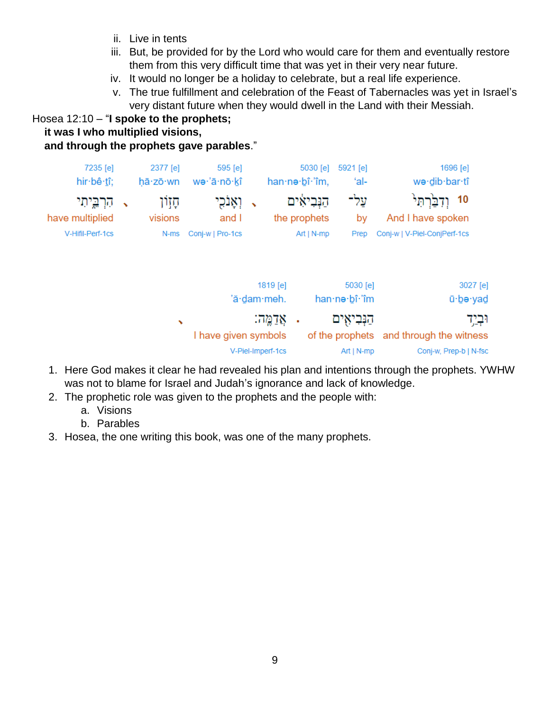- ii. Live in tents
- iii. But, be provided for by the Lord who would care for them and eventually restore them from this very difficult time that was yet in their very near future.
- iv. It would no longer be a holiday to celebrate, but a real life experience.
- v. The true fulfillment and celebration of the Feast of Tabernacles was yet in Israel's very distant future when they would dwell in the Land with their Messiah.

# Hosea 12:10 – "**I spoke to the prophets;**

#### **it was I who multiplied visions,**

# **and through the prophets gave parables**."

| 7235 [e]<br>hir bê tî;        |                          | 2377 [e]<br>hā·zō·wn | 595 [e]<br>wə·'ā·nō·kî |   |                   | 5030 [e]<br>han no bî m,     | 5921 [e]<br>'al- | 1696 [e]<br>we·dib·bar·tî                |
|-------------------------------|--------------------------|----------------------|------------------------|---|-------------------|------------------------------|------------------|------------------------------------------|
| הַרְבֵיתִי<br>have multiplied | $\overline{\phantom{a}}$ | קזָון<br>visions     | וְאָוֹכִי<br>and I     | ↖ |                   | הַנְּבִיאִים<br>the prophets | על־<br>by        | וֹנְבָּרְתַּי<br>10<br>And I have spoken |
| V-Hifil-Perf-1cs              |                          | N-ms                 | Conj-w   Pro-1cs       |   |                   | Art   N-mp                   | Prep             | Conj-w   V-Piel-ConjPerf-1cs             |
|                               |                          |                      |                        |   | 1819 [e]          |                              | 5030 [e]         | 3027 [e]                                 |
|                               |                          |                      |                        |   | 'ă·dam·meh.       |                              | han·ne·bî·'îm    | ū·be·yad                                 |
|                               |                          | ↖                    |                        |   | אַדַמֵּה:         | ٠                            | הַנְּבִיאִים     | וּבְיָד                                  |
|                               |                          |                      | I have given symbols   |   |                   |                              | of the prophets  | and through the witness                  |
|                               |                          |                      |                        |   | V-Piel-Imperf-1cs |                              | Art   $N$ -mp    | Conj-w, Prep-b   N-fsc                   |

- 1. Here God makes it clear he had revealed his plan and intentions through the prophets. YWHW was not to blame for Israel and Judah's ignorance and lack of knowledge.
- 2. The prophetic role was given to the prophets and the people with:
	- a. Visions
	- b. Parables
- 3. Hosea, the one writing this book, was one of the many prophets.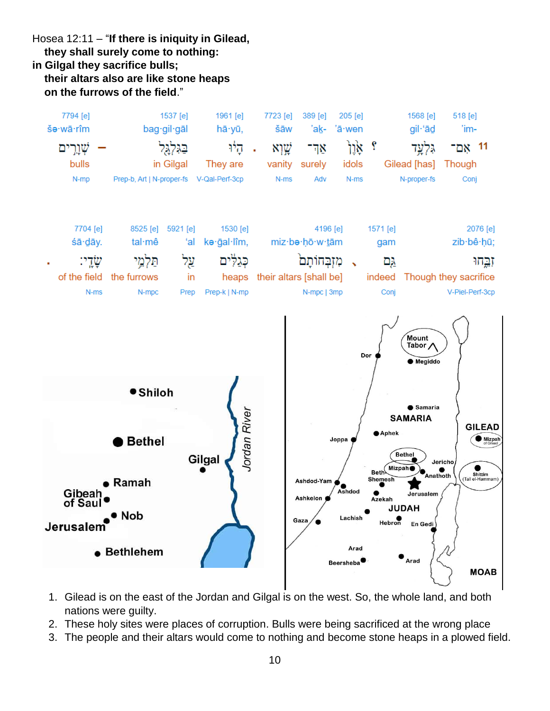Hosea 12:11 – "**If there is iniquity in Gilead, they shall surely come to nothing: in Gilgal they sacrifice bulls; their altars also are like stone heaps on the furrows of the field**."



- 1. Gilead is on the east of the Jordan and Gilgal is on the west. So, the whole land, and both nations were guilty.
- 2. These holy sites were places of corruption. Bulls were being sacrificed at the wrong place
- 3. The people and their altars would come to nothing and become stone heaps in a plowed field.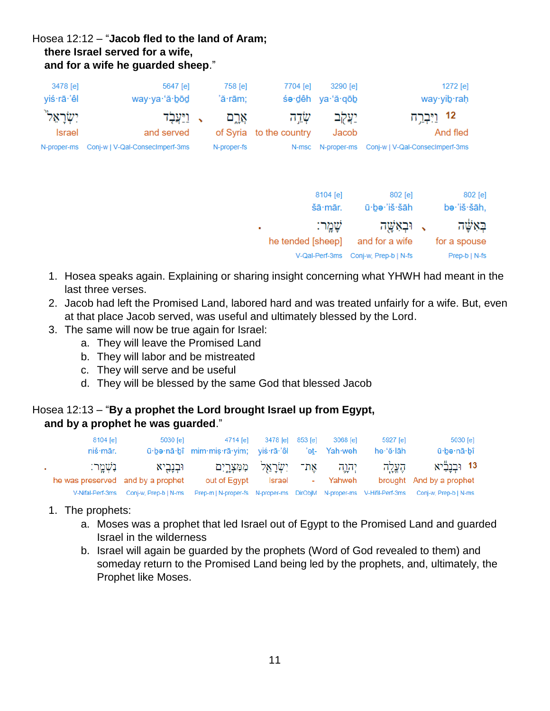# Hosea 12:12 – "**Jacob fled to the land of Aram; there Israel served for a wife, and for a wife he guarded sheep**."

| 3478 [e]<br>yiś·rā·'êl                               | 5647 [e]<br>way·ya·'ă·bod                                        | 758 [e]<br>'ă∙rām;   | 7704 [e]                         | 3290 [e]<br>śe·dêh ya·'ă·qōb          | 1272 [e]<br>way∙yib∙raḥ                                             |
|------------------------------------------------------|------------------------------------------------------------------|----------------------|----------------------------------|---------------------------------------|---------------------------------------------------------------------|
| ישׂראל" <sub>.</sub><br><b>Israel</b><br>N-proper-ms | , <u>ויע</u> בד<br>and served<br>Conj-w   V-Qal-ConsecImperf-3ms | אַרַם<br>N-proper-fs | שְדֵה<br>of Syria to the country | יַעֲקִב<br>Jacob<br>N-msc N-proper-ms | 12 <u>ויִּבְר</u> ְה<br>And fled<br>Conj-w   V-Qal-ConsecImperf-3ms |

| 802 [e]<br>be·'iš·šāh, | 802 [e]<br>ū·be·'iš·šāh | 8104 [e]<br>šā mār. |              |
|------------------------|-------------------------|---------------------|--------------|
| באשה                   | , וּבְאָשֶׁה            | שָׁמֶר:             | $\mathbf{r}$ |
| for a spouse           | and for a wife          | he tended [sheep]   |              |
| Prep-b   N-fs          | Conj-w, Prep-b   N-fs   | V-Qal-Perf-3ms      |              |

- 1. Hosea speaks again. Explaining or sharing insight concerning what YHWH had meant in the last three verses.
- 2. Jacob had left the Promised Land, labored hard and was treated unfairly for a wife. But, even at that place Jacob served, was useful and ultimately blessed by the Lord.
- 3. The same will now be true again for Israel:
	- a. They will leave the Promised Land
	- b. They will labor and be mistreated
	- c. They will serve and be useful
	- d. They will be blessed by the same God that blessed Jacob

#### Hosea 12:13 – "**By a prophet the Lord brought Israel up from Egypt, and by a prophet he was guarded**."

|           | 8104 [e]<br>niš·mār.              | 5030 [e]              | 4714 [e]<br>ū·be·nā·bî mim·mis·rā·yim; yiś·rā·'êl                     | 3478 [e] 853 [e] | 3068 [e]<br>'et- Yah·weh | 5927 [e]<br>he 'ĕ lāh | 5030 [e]<br>ū∙bə∙nā∙bî   |
|-----------|-----------------------------------|-----------------------|-----------------------------------------------------------------------|------------------|--------------------------|-----------------------|--------------------------|
| $\sim 10$ | ּנִשְׁמַר:                        | וּבְנָבִיא            | אֵת־ יִשְׂרַאֵל מִמְּצָרֵיִם                                          |                  | יהוה                     | הֶעֱלֶה               | 13 וּבְנַבְיֹא           |
|           | he was preserved and by a prophet |                       | out of Egypt                                                          | Israel           | - Yahweh                 |                       | brought And by a prophet |
|           | V-Nifal-Perf-3ms                  | Coni-w. Prep-b   N-ms | Prep-m   N-proper-fs N-proper-ms DirObjM N-proper-ms V-Hifil-Perf-3ms |                  |                          |                       | Conj-w, Prep-b   N-ms    |

- 1. The prophets:
	- a. Moses was a prophet that led Israel out of Egypt to the Promised Land and guarded Israel in the wilderness
	- b. Israel will again be guarded by the prophets (Word of God revealed to them) and someday return to the Promised Land being led by the prophets, and, ultimately, the Prophet like Moses.